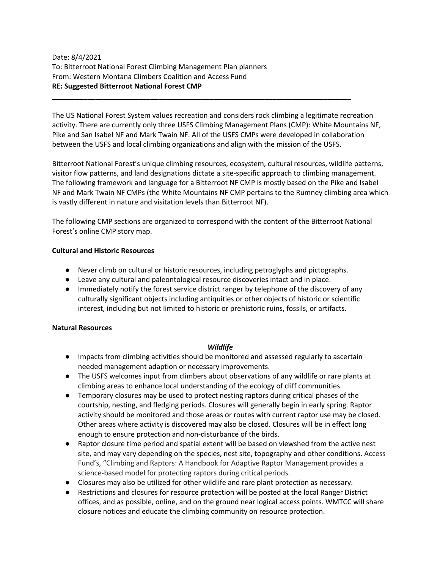# Date: 8/4/2021 To: Bitterroot National Forest Climbing Management Plan planners From: Western Montana Climbers Coalition and Access Fund **RE: Suggested Bitterroot National Forest CMP**

The US National Forest System values recreation and considers rock climbing a legitimate recreation activity. There are currently only three USFS Climbing Management Plans (CMP): White Mountains NF, Pike and San Isabel NF and Mark Twain NF. All of the USFS CMPs were developed in collaboration between the USFS and local climbing organizations and align with the mission of the USFS.

**\_\_\_\_\_\_\_\_\_\_\_\_\_\_\_\_\_\_\_\_\_\_\_\_\_\_\_\_\_\_\_\_\_\_\_\_\_\_\_\_\_\_\_\_\_\_\_\_\_\_\_\_\_\_\_\_\_\_\_\_\_\_\_\_\_\_\_\_\_\_\_\_\_\_\_\_**

Bitterroot National Forest's unique climbing resources, ecosystem, cultural resources, wildlife patterns, visitor flow patterns, and land designations dictate a site-specific approach to climbing management. The following framework and language for a Bitterroot NF CMP is mostly based on the Pike and Isabel NF and Mark Twain NF CMPs (the White Mountains NF CMP pertains to the Rumney climbing area which is vastly different in nature and visitation levels than Bitterroot NF).

The following CMP sections are organized to correspond with the content of the Bitterroot National Forest's online CMP story map.

#### **Cultural and Historic Resources**

- Never climb on cultural or historic resources, including petroglyphs and pictographs.
- Leave any cultural and paleontological resource discoveries intact and in place.
- Immediately notify the forest service district ranger by telephone of the discovery of any culturally significant objects including antiquities or other objects of historic or scientific interest, including but not limited to historic or prehistoric ruins, fossils, or artifacts.

### **Natural Resources**

#### *Wildlife*

- Impacts from climbing activities should be monitored and assessed regularly to ascertain needed management adaption or necessary improvements.
- The USFS welcomes input from climbers about observations of any wildlife or rare plants at climbing areas to enhance local understanding of the ecology of cliff communities.
- Temporary closures may be used to protect nesting raptors during critical phases of the courtship, nesting, and fledging periods. Closures will generally begin in early spring. Raptor activity should be monitored and those areas or routes with current raptor use may be closed. Other areas where activity is discovered may also be closed. Closures will be in effect long enough to ensure protection and non-disturbance of the birds.
- Raptor closure time period and spatial extent will be based on viewshed from the active nest site, and may vary depending on the species, nest site, topography and other conditions. Access Fund's, "Climbing and Raptors: A Handbook for Adaptive Raptor Management provides a science-based model for protecting raptors during critical periods.
- Closures may also be utilized for other wildlife and rare plant protection as necessary.
- Restrictions and closures for resource protection will be posted at the local Ranger District offices, and as possible, online, and on the ground near logical access points. WMTCC will share closure notices and educate the climbing community on resource protection.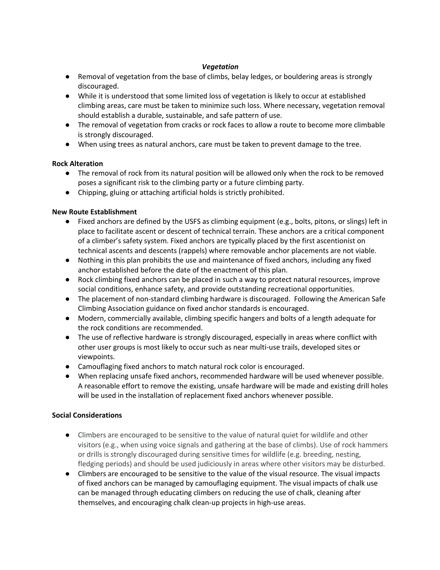# *Vegetation*

- Removal of vegetation from the base of climbs, belay ledges, or bouldering areas is strongly discouraged.
- While it is understood that some limited loss of vegetation is likely to occur at established climbing areas, care must be taken to minimize such loss. Where necessary, vegetation removal should establish a durable, sustainable, and safe pattern of use.
- The removal of vegetation from cracks or rock faces to allow a route to become more climbable is strongly discouraged.
- When using trees as natural anchors, care must be taken to prevent damage to the tree.

# **Rock Alteration**

- The removal of rock from its natural position will be allowed only when the rock to be removed poses a significant risk to the climbing party or a future climbing party.
- Chipping, gluing or attaching artificial holds is strictly prohibited.

# **New Route Establishment**

- Fixed anchors are defined by the USFS as climbing equipment (e.g., bolts, pitons, or slings) left in place to facilitate ascent or descent of technical terrain. These anchors are a critical component of a climber's safety system. Fixed anchors are typically placed by the first ascentionist on technical ascents and descents (rappels) where removable anchor placements are not viable.
- Nothing in this plan prohibits the use and maintenance of fixed anchors, including any fixed anchor established before the date of the enactment of this plan.
- Rock climbing fixed anchors can be placed in such a way to protect natural resources, improve social conditions, enhance safety, and provide outstanding recreational opportunities.
- The placement of non-standard climbing hardware is discouraged. Following the American Safe Climbing Association guidance on fixed anchor standards is encouraged.
- Modern, commercially available, climbing specific hangers and bolts of a length adequate for the rock conditions are recommended.
- The use of reflective hardware is strongly discouraged, especially in areas where conflict with other user groups is most likely to occur such as near multi-use trails, developed sites or viewpoints.
- Camouflaging fixed anchors to match natural rock color is encouraged.
- When replacing unsafe fixed anchors, recommended hardware will be used whenever possible. A reasonable effort to remove the existing, unsafe hardware will be made and existing drill holes will be used in the installation of replacement fixed anchors whenever possible.

### **Social Considerations**

- Climbers are encouraged to be sensitive to the value of natural quiet for wildlife and other visitors (e.g., when using voice signals and gathering at the base of climbs). Use of rock hammers or drills is strongly discouraged during sensitive times for wildlife (e.g. breeding, nesting, fledging periods) and should be used judiciously in areas where other visitors may be disturbed.
- Climbers are encouraged to be sensitive to the value of the visual resource. The visual impacts of fixed anchors can be managed by camouflaging equipment. The visual impacts of chalk use can be managed through educating climbers on reducing the use of chalk, cleaning after themselves, and encouraging chalk clean-up projects in high-use areas.